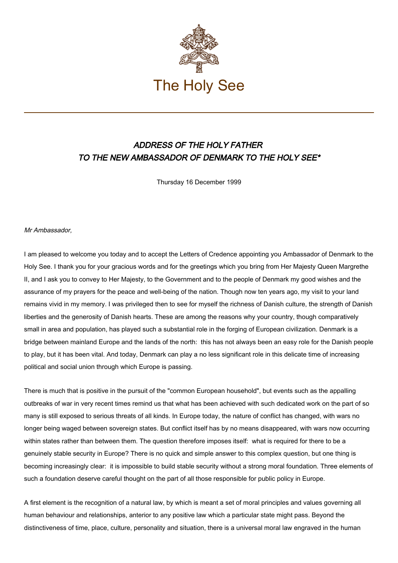

## ADDRESS OF THE HOLY FATHER TO THE NEW AMBASSADOR OF DENMARK TO THE HOLY SEE\*

Thursday 16 December 1999

Mr Ambassador,

I am pleased to welcome you today and to accept the Letters of Credence appointing you Ambassador of Denmark to the Holy See. I thank you for your gracious words and for the greetings which you bring from Her Majesty Queen Margrethe II, and I ask you to convey to Her Majesty, to the Government and to the people of Denmark my good wishes and the assurance of my prayers for the peace and well-being of the nation. Though now ten years ago, my visit to your land remains vivid in my memory. I was privileged then to see for myself the richness of Danish culture, the strength of Danish liberties and the generosity of Danish hearts. These are among the reasons why your country, though comparatively small in area and population, has played such a substantial role in the forging of European civilization. Denmark is a bridge between mainland Europe and the lands of the north: this has not always been an easy role for the Danish people to play, but it has been vital. And today, Denmark can play a no less significant role in this delicate time of increasing political and social union through which Europe is passing.

There is much that is positive in the pursuit of the "common European household", but events such as the appalling outbreaks of war in very recent times remind us that what has been achieved with such dedicated work on the part of so many is still exposed to serious threats of all kinds. In Europe today, the nature of conflict has changed, with wars no longer being waged between sovereign states. But conflict itself has by no means disappeared, with wars now occurring within states rather than between them. The question therefore imposes itself: what is required for there to be a genuinely stable security in Europe? There is no quick and simple answer to this complex question, but one thing is becoming increasingly clear: it is impossible to build stable security without a strong moral foundation. Three elements of such a foundation deserve careful thought on the part of all those responsible for public policy in Europe.

A first element is the recognition of a natural law, by which is meant a set of moral principles and values governing all human behaviour and relationships, anterior to any positive law which a particular state might pass. Beyond the distinctiveness of time, place, culture, personality and situation, there is a universal moral law engraved in the human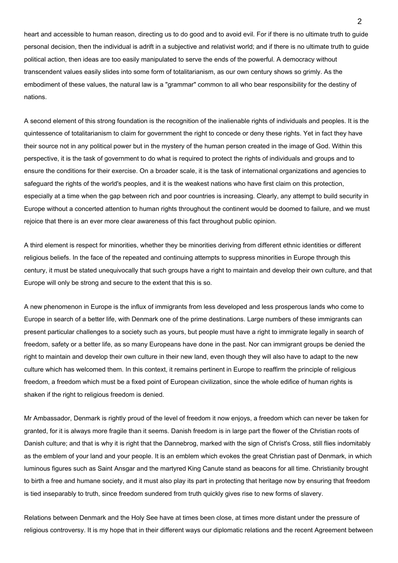heart and accessible to human reason, directing us to do good and to avoid evil. For if there is no ultimate truth to guide personal decision, then the individual is adrift in a subjective and relativist world; and if there is no ultimate truth to guide political action, then ideas are too easily manipulated to serve the ends of the powerful. A democracy without transcendent values easily slides into some form of totalitarianism, as our own century shows so grimly. As the embodiment of these values, the natural law is a "grammar" common to all who bear responsibility for the destiny of nations.

A second element of this strong foundation is the recognition of the inalienable rights of individuals and peoples. It is the quintessence of totalitarianism to claim for government the right to concede or deny these rights. Yet in fact they have their source not in any political power but in the mystery of the human person created in the image of God. Within this perspective, it is the task of government to do what is required to protect the rights of individuals and groups and to ensure the conditions for their exercise. On a broader scale, it is the task of international organizations and agencies to safeguard the rights of the world's peoples, and it is the weakest nations who have first claim on this protection, especially at a time when the gap between rich and poor countries is increasing. Clearly, any attempt to build security in Europe without a concerted attention to human rights throughout the continent would be doomed to failure, and we must rejoice that there is an ever more clear awareness of this fact throughout public opinion.

A third element is respect for minorities, whether they be minorities deriving from different ethnic identities or different religious beliefs. In the face of the repeated and continuing attempts to suppress minorities in Europe through this century, it must be stated unequivocally that such groups have a right to maintain and develop their own culture, and that Europe will only be strong and secure to the extent that this is so.

A new phenomenon in Europe is the influx of immigrants from less developed and less prosperous lands who come to Europe in search of a better life, with Denmark one of the prime destinations. Large numbers of these immigrants can present particular challenges to a society such as yours, but people must have a right to immigrate legally in search of freedom, safety or a better life, as so many Europeans have done in the past. Nor can immigrant groups be denied the right to maintain and develop their own culture in their new land, even though they will also have to adapt to the new culture which has welcomed them. In this context, it remains pertinent in Europe to reaffirm the principle of religious freedom, a freedom which must be a fixed point of European civilization, since the whole edifice of human rights is shaken if the right to religious freedom is denied.

Mr Ambassador, Denmark is rightly proud of the level of freedom it now enjoys, a freedom which can never be taken for granted, for it is always more fragile than it seems. Danish freedom is in large part the flower of the Christian roots of Danish culture; and that is why it is right that the Dannebrog, marked with the sign of Christ's Cross, still flies indomitably as the emblem of your land and your people. It is an emblem which evokes the great Christian past of Denmark, in which luminous figures such as Saint Ansgar and the martyred King Canute stand as beacons for all time. Christianity brought to birth a free and humane society, and it must also play its part in protecting that heritage now by ensuring that freedom is tied inseparably to truth, since freedom sundered from truth quickly gives rise to new forms of slavery.

Relations between Denmark and the Holy See have at times been close, at times more distant under the pressure of religious controversy. It is my hope that in their different ways our diplomatic relations and the recent Agreement between